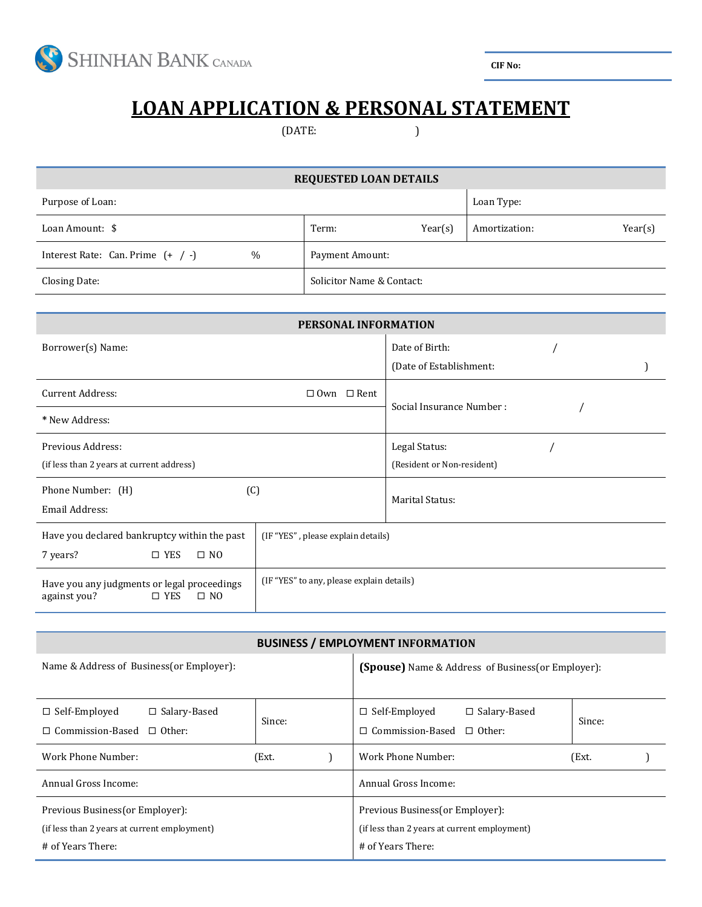

**CIF No:** 

## **LOAN APPLICATION & PERSONAL STATEMENT**

(DATE: )

| <b>REQUESTED LOAN DETAILS</b>                                                                                                             |                                    |                           |                            |               |  |         |  |
|-------------------------------------------------------------------------------------------------------------------------------------------|------------------------------------|---------------------------|----------------------------|---------------|--|---------|--|
| Purpose of Loan:                                                                                                                          |                                    |                           |                            | Loan Type:    |  |         |  |
| Loan Amount: \$                                                                                                                           |                                    | Term:                     | Year(s)                    | Amortization: |  | Year(s) |  |
| Interest Rate: Can. Prime $(+ / -)$                                                                                                       | $\frac{0}{0}$                      | Payment Amount:           |                            |               |  |         |  |
| Closing Date:                                                                                                                             |                                    | Solicitor Name & Contact: |                            |               |  |         |  |
|                                                                                                                                           |                                    |                           |                            |               |  |         |  |
| PERSONAL INFORMATION                                                                                                                      |                                    |                           |                            |               |  |         |  |
| Borrower(s) Name:                                                                                                                         |                                    |                           | Date of Birth:             |               |  |         |  |
|                                                                                                                                           |                                    |                           | (Date of Establishment:    |               |  |         |  |
| <b>Current Address:</b>                                                                                                                   | $\Box$ Own $\Box$ Rent             |                           |                            |               |  |         |  |
| * New Address:                                                                                                                            |                                    |                           | Social Insurance Number:   |               |  |         |  |
| Previous Address:                                                                                                                         |                                    |                           | Legal Status:              |               |  |         |  |
| (if less than 2 years at current address)                                                                                                 |                                    |                           | (Resident or Non-resident) |               |  |         |  |
| Phone Number: (H)<br>(C)                                                                                                                  |                                    |                           | <b>Marital Status:</b>     |               |  |         |  |
| Email Address:                                                                                                                            |                                    |                           |                            |               |  |         |  |
| Have you declared bankruptcy within the past                                                                                              | (IF "YES", please explain details) |                           |                            |               |  |         |  |
| 7 years?<br>$\square$ YES<br>$\square$ NO                                                                                                 |                                    |                           |                            |               |  |         |  |
| (IF "YES" to any, please explain details)<br>Have you any judgments or legal proceedings<br>$\square$ YES<br>$\square$ NO<br>against you? |                                    |                           |                            |               |  |         |  |

## **BUSINESS / EMPLOYMENT INFORMATION**

| Name & Address of Business (or Employer):                                                             |        |  | <b>(Spouse)</b> Name & Address of Business (or Employer):                                             |        |  |  |
|-------------------------------------------------------------------------------------------------------|--------|--|-------------------------------------------------------------------------------------------------------|--------|--|--|
| $\Box$ Self-Employed<br>$\Box$ Salary-Based<br>$\Box$ Commission-Based $\Box$ Other:                  | Since: |  | $\Box$ Self-Employed<br>$\Box$ Salary-Based<br>$\Box$ Commission-Based $\Box$ Other:                  | Since: |  |  |
| Work Phone Number:                                                                                    | (Ext.  |  | Work Phone Number:                                                                                    | (Ext.  |  |  |
| Annual Gross Income:                                                                                  |        |  | Annual Gross Income:                                                                                  |        |  |  |
| Previous Business (or Employer):<br>(if less than 2 years at current employment)<br># of Years There: |        |  | Previous Business (or Employer):<br>(if less than 2 years at current employment)<br># of Years There: |        |  |  |